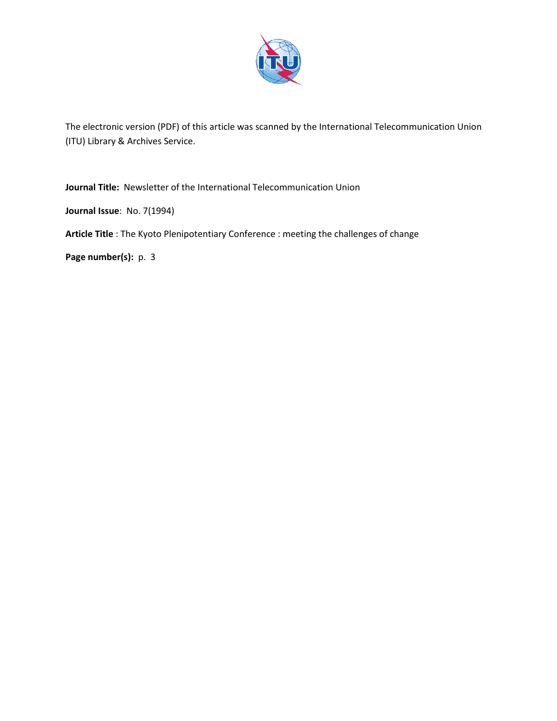

The electronic version (PDF) of this article was scanned by the International Telecommunication Union (ITU) Library & Archives Service.

**Journal Title:** Newsletter of the International Telecommunication Union

**Journal Issue**: No. 7(1994)

**Article Title** : The Kyoto Plenipotentiary Conference : meeting the challenges of change

**Page number(s):** p. 3